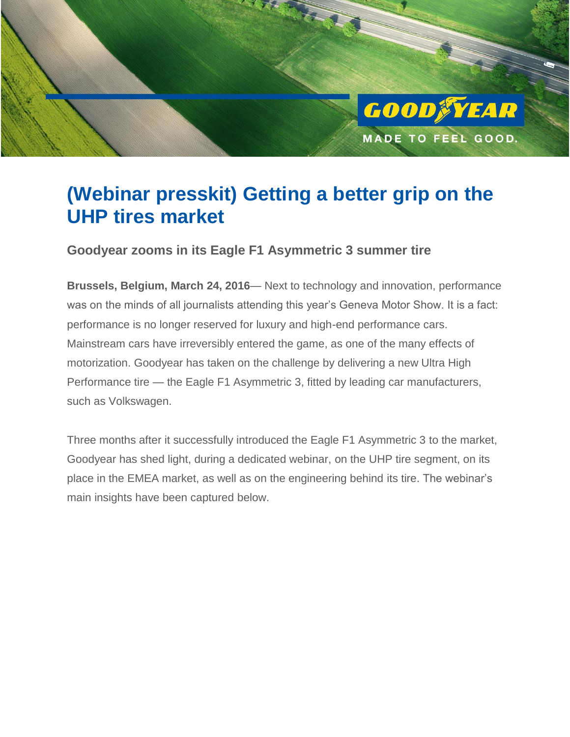

# **(Webinar presskit) Getting a better grip on the UHP tires market**

**Goodyear zooms in its Eagle F1 Asymmetric 3 summer tire**

**Brussels, Belgium, March 24, 2016**— Next to technology and innovation, performance was on the minds of all journalists attending this year's Geneva Motor Show. It is a fact: performance is no longer reserved for luxury and high-end performance cars. Mainstream cars have irreversibly entered the game, as one of the many effects of motorization. Goodyear has taken on the challenge by delivering a new Ultra High Performance tire — the Eagle F1 Asymmetric 3, fitted by leading car manufacturers, such as Volkswagen.

Three months after it successfully introduced the Eagle F1 Asymmetric 3 to the market, Goodyear has shed light, during a dedicated webinar, on the UHP tire segment, on its place in the EMEA market, as well as on the engineering behind its tire. The webinar's main insights have been captured below.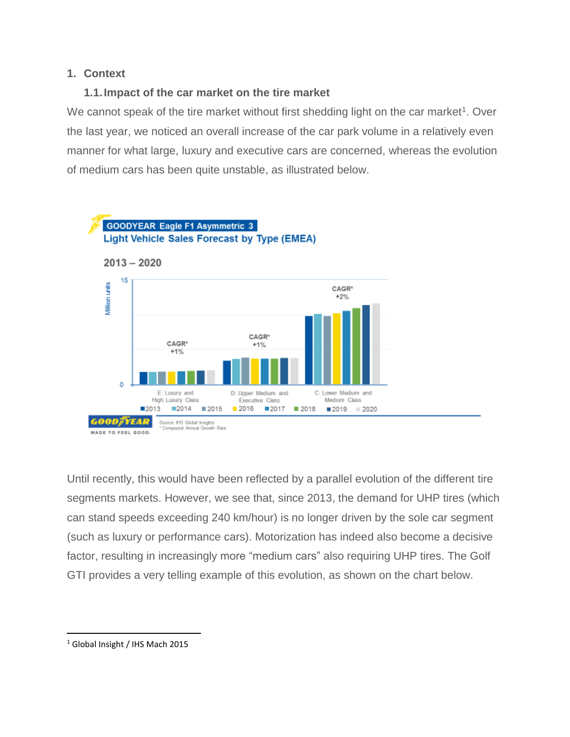#### **1. Context**

#### **1.1.Impact of the car market on the tire market**

We cannot speak of the tire market without first shedding light on the car market<sup>1</sup>. Over the last year, we noticed an overall increase of the car park volume in a relatively even manner for what large, luxury and executive cars are concerned, whereas the evolution of medium cars has been quite unstable, as illustrated below.



Until recently, this would have been reflected by a parallel evolution of the different tire segments markets. However, we see that, since 2013, the demand for UHP tires (which can stand speeds exceeding 240 km/hour) is no longer driven by the sole car segment (such as luxury or performance cars). Motorization has indeed also become a decisive factor, resulting in increasingly more "medium cars" also requiring UHP tires. The Golf GTI provides a very telling example of this evolution, as shown on the chart below.

l

<sup>1</sup> Global Insight / IHS Mach 2015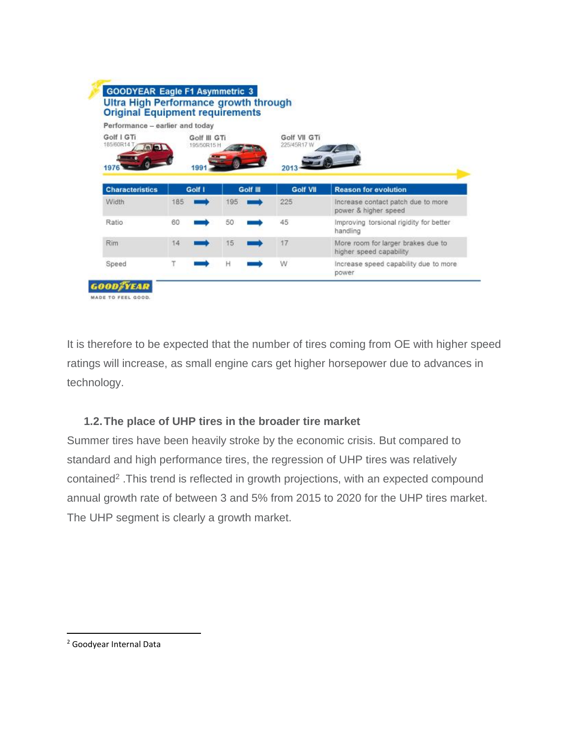|                                                          | Performance - earlier and today |          |                             |                                                               |  |
|----------------------------------------------------------|---------------------------------|----------|-----------------------------|---------------------------------------------------------------|--|
| Golf   GTi<br>Golf III GTi<br>185/60R14 T<br>195/50R15 H |                                 |          | Golf VII GTi<br>225/45R17.W |                                                               |  |
| 1976<br><b>Characteristics</b>                           | 1991<br>Golf I                  | Golf III | 2013<br><b>Golf VII</b>     | <b>Reason for evolution</b>                                   |  |
| Width                                                    | 185                             | 195      | 225                         | Increase contact patch due to more                            |  |
|                                                          |                                 |          |                             | power & higher speed                                          |  |
| Ratio                                                    | 60                              | 50       | 45                          | Improving torsional rigidity for better<br>handling           |  |
| Rim                                                      | 14                              | 15       | 17                          | More room for larger brakes due to<br>higher speed capability |  |
| Speed                                                    |                                 | H        | W                           | Increase speed capability due to more                         |  |

It is therefore to be expected that the number of tires coming from OE with higher speed ratings will increase, as small engine cars get higher horsepower due to advances in technology.

### **1.2.The place of UHP tires in the broader tire market**

Summer tires have been heavily stroke by the economic crisis. But compared to standard and high performance tires, the regression of UHP tires was relatively contained<sup>2</sup>. This trend is reflected in growth projections, with an expected compound annual growth rate of between 3 and 5% from 2015 to 2020 for the UHP tires market. The UHP segment is clearly a growth market.

l

<sup>2</sup> Goodyear Internal Data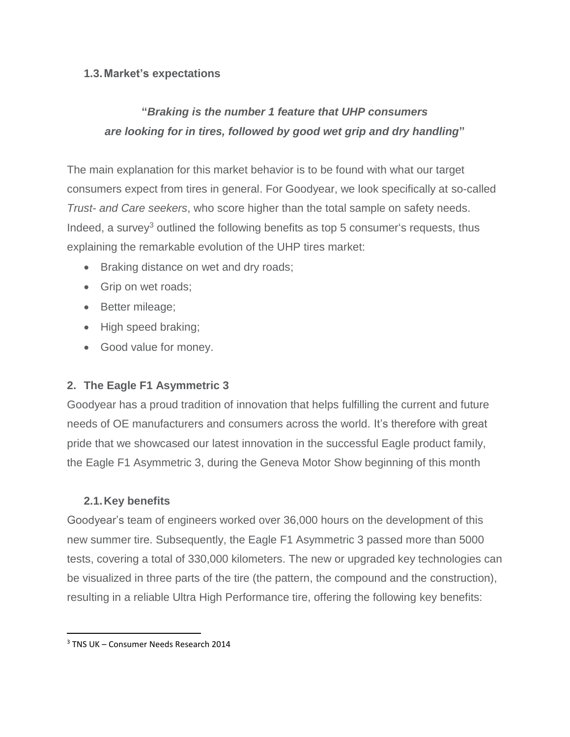#### **1.3.Market's expectations**

## **"***Braking is the number 1 feature that UHP consumers are looking for in tires, followed by good wet grip and dry handling***"**

The main explanation for this market behavior is to be found with what our target consumers expect from tires in general. For Goodyear, we look specifically at so-called *Trust- and Care seekers*, who score higher than the total sample on safety needs. Indeed, a survey<sup>3</sup> outlined the following benefits as top 5 consumer's requests, thus explaining the remarkable evolution of the UHP tires market:

- Braking distance on wet and dry roads;
- Grip on wet roads;
- Better mileage;
- High speed braking;
- Good value for money.

### **2. The Eagle F1 Asymmetric 3**

Goodyear has a proud tradition of innovation that helps fulfilling the current and future needs of OE manufacturers and consumers across the world. It's therefore with great pride that we showcased our latest innovation in the successful Eagle product family, the Eagle F1 Asymmetric 3, during the Geneva Motor Show beginning of this month

#### **2.1.Key benefits**

Goodyear's team of engineers worked over 36,000 hours on the development of this new summer tire. Subsequently, the Eagle F1 Asymmetric 3 passed more than 5000 tests, covering a total of 330,000 kilometers. The new or upgraded key technologies can be visualized in three parts of the tire (the pattern, the compound and the construction), resulting in a reliable Ultra High Performance tire, offering the following key benefits:

l

<sup>3</sup> TNS UK – Consumer Needs Research 2014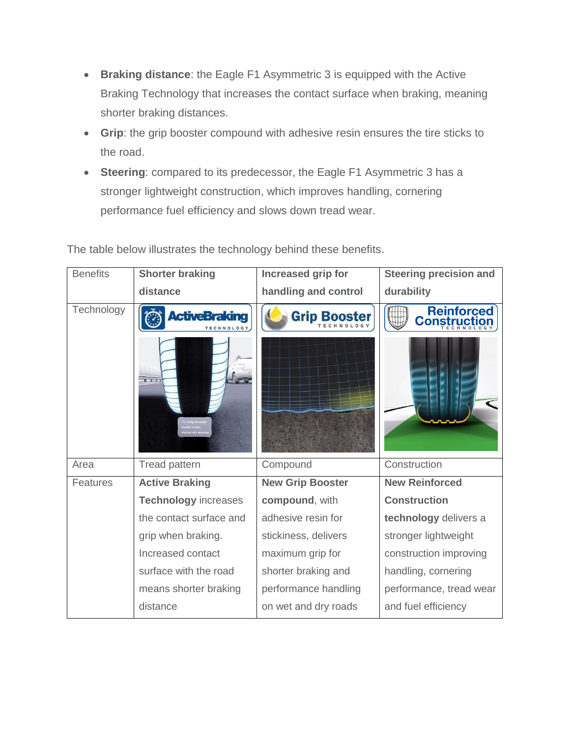- **Braking distance**: the Eagle F1 Asymmetric 3 is equipped with the Active Braking Technology that increases the contact surface when braking, meaning shorter braking distances.
- **Grip**: the grip booster compound with adhesive resin ensures the tire sticks to the road.
- **Steering**: compared to its predecessor, the Eagle F1 Asymmetric 3 has a stronger lightweight construction, which improves handling, cornering performance fuel efficiency and slows down tread wear.

| <b>Benefits</b> | <b>Shorter braking</b>      | Increased grip for      | <b>Steering precision and</b> |
|-----------------|-----------------------------|-------------------------|-------------------------------|
|                 | distance                    | handling and control    | durability                    |
| Technology      | <b>ActiveBraking</b>        | Grip Booster            | Reinforced<br>Construction    |
|                 | <b>TELEPHONE</b>            |                         |                               |
| Area            | <b>Tread pattern</b>        | Compound                | Construction                  |
| <b>Features</b> | <b>Active Braking</b>       | <b>New Grip Booster</b> | <b>New Reinforced</b>         |
|                 | <b>Technology increases</b> | compound, with          | <b>Construction</b>           |
|                 | the contact surface and     | adhesive resin for      | technology delivers a         |
|                 | grip when braking.          | stickiness, delivers    | stronger lightweight          |
|                 | Increased contact           | maximum grip for        | construction improving        |
|                 | surface with the road       | shorter braking and     | handling, cornering           |
|                 | means shorter braking       | performance handling    | performance, tread wear       |
|                 | distance                    | on wet and dry roads    | and fuel efficiency           |

The table below illustrates the technology behind these benefits.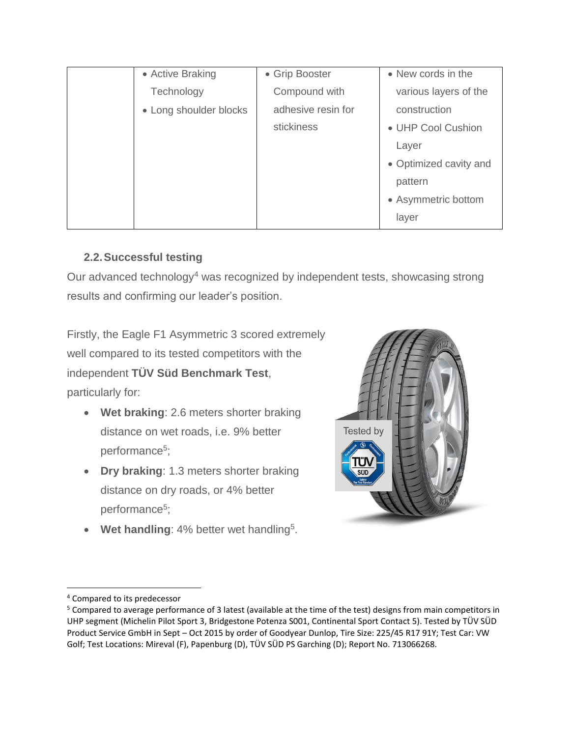| • Active Braking       | • Grip Booster     | • New cords in the     |
|------------------------|--------------------|------------------------|
| Technology             | Compound with      | various layers of the  |
| • Long shoulder blocks | adhesive resin for | construction           |
|                        | stickiness         | • UHP Cool Cushion     |
|                        |                    | Layer                  |
|                        |                    | • Optimized cavity and |
|                        |                    | pattern                |
|                        |                    | • Asymmetric bottom    |
|                        |                    | layer                  |

### **2.2.Successful testing**

Our advanced technology<sup>4</sup> was recognized by independent tests, showcasing strong results and confirming our leader's position.

Firstly, the Eagle F1 Asymmetric 3 scored extremely well compared to its tested competitors with the independent **TÜV Süd Benchmark Test**, particularly for:

- **Wet braking**: 2.6 meters shorter braking distance on wet roads, i.e. 9% better performance<sup>5</sup>;
- **Dry braking**: 1.3 meters shorter braking distance on dry roads, or 4% better performance<sup>5</sup>;
- Wet handling: 4% better wet handling<sup>5</sup>.



 $\overline{a}$ 

<sup>4</sup> Compared to its predecessor

<sup>5</sup> Compared to average performance of 3 latest (available at the time of the test) designs from main competitors in UHP segment (Michelin Pilot Sport 3, Bridgestone Potenza S001, Continental Sport Contact 5). Tested by TÜV SÜD Product Service GmbH in Sept – Oct 2015 by order of Goodyear Dunlop, Tire Size: 225/45 R17 91Y; Test Car: VW Golf; Test Locations: Mireval (F), Papenburg (D), TÜV SÜD PS Garching (D); Report No. 713066268.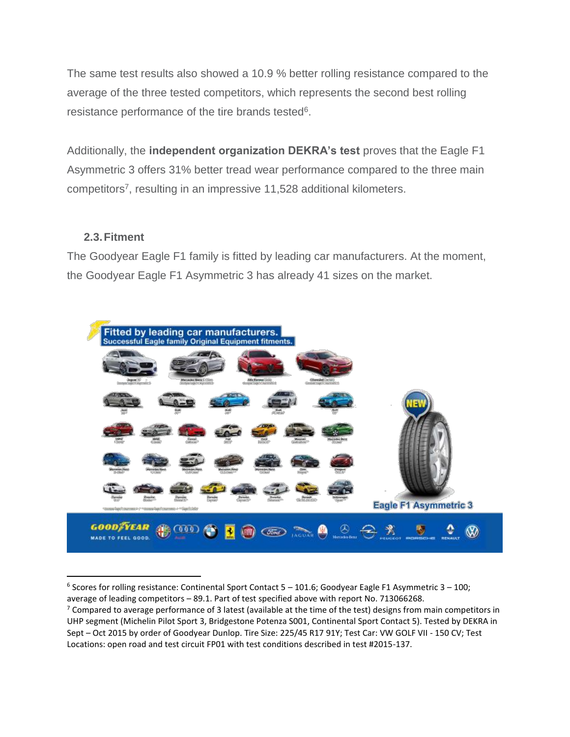The same test results also showed a 10.9 % better rolling resistance compared to the average of the three tested competitors, which represents the second best rolling resistance performance of the tire brands tested<sup>6</sup>.

Additionally, the **independent organization DEKRA's test** proves that the Eagle F1 Asymmetric 3 offers 31% better tread wear performance compared to the three main competitors<sup>7</sup>, resulting in an impressive 11,528 additional kilometers.

#### **2.3.Fitment**

 $\overline{\phantom{a}}$ 

The Goodyear Eagle F1 family is fitted by leading car manufacturers. At the moment, the Goodyear Eagle F1 Asymmetric 3 has already 41 sizes on the market.



<sup>6</sup> Scores for rolling resistance: Continental Sport Contact 5 – 101.6; Goodyear Eagle F1 Asymmetric 3 – 100; average of leading competitors – 89.1. Part of test specified above with report No. 713066268.

 $7$  Compared to average performance of 3 latest (available at the time of the test) designs from main competitors in UHP segment (Michelin Pilot Sport 3, Bridgestone Potenza S001, Continental Sport Contact 5). Tested by DEKRA in Sept – Oct 2015 by order of Goodyear Dunlop. Tire Size: 225/45 R17 91Y; Test Car: VW GOLF VII - 150 CV; Test Locations: open road and test circuit FP01 with test conditions described in test #2015-137.